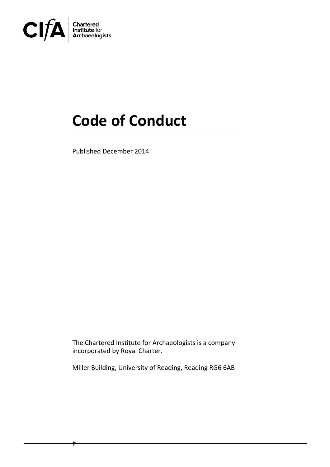

 $#$ 

# **Code of Conduct**

Published December 2014

The Chartered Institute for Archaeologists is a company incorporated by Royal Charter.

Miller Building, University of Reading, Reading RG6 6AB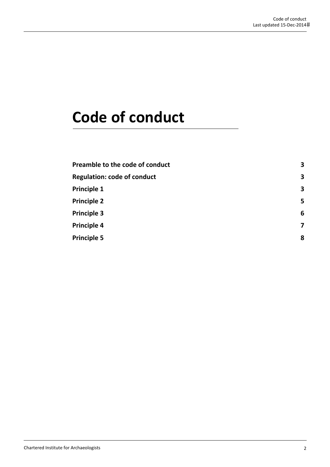## **Code of conduct**

| Preamble to the code of conduct    | 3 |
|------------------------------------|---|
| <b>Regulation: code of conduct</b> | 3 |
| <b>Principle 1</b>                 | 3 |
| <b>Principle 2</b>                 | 5 |
| <b>Principle 3</b>                 | 6 |
| <b>Principle 4</b>                 |   |
| <b>Principle 5</b>                 | 8 |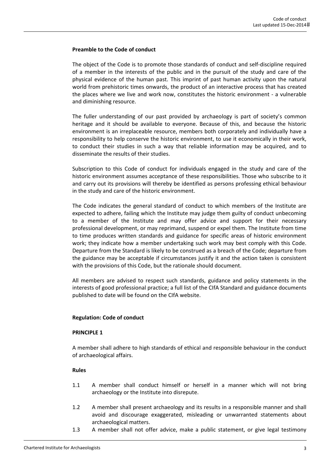#### **Preamble to the Code of conduct**

The object of the Code is to promote those standards of conduct and self‐discipline required of a member in the interests of the public and in the pursuit of the study and care of the physical evidence of the human past. This imprint of past human activity upon the natural world from prehistoric times onwards, the product of an interactive process that has created the places where we live and work now, constitutes the historic environment ‐ a vulnerable and diminishing resource.

The fuller understanding of our past provided by archaeology is part of society's common heritage and it should be available to everyone. Because of this, and because the historic environment is an irreplaceable resource, members both corporately and individually have a responsibility to help conserve the historic environment, to use it economically in their work, to conduct their studies in such a way that reliable information may be acquired, and to disseminate the results of their studies.

Subscription to this Code of conduct for individuals engaged in the study and care of the historic environment assumes acceptance of these responsibilities. Those who subscribe to it and carry out its provisions will thereby be identified as persons professing ethical behaviour in the study and care of the historic environment.

The Code indicates the general standard of conduct to which members of the Institute are expected to adhere, failing which the Institute may judge them guilty of conduct unbecoming to a member of the Institute and may offer advice and support for their necessary professional development, or may reprimand, suspend or expel them. The Institute from time to time produces written standards and guidance for specific areas of historic environment work; they indicate how a member undertaking such work may best comply with this Code. Departure from the Standard is likely to be construed as a breach of the Code; departure from the guidance may be acceptable if circumstances justify it and the action taken is consistent with the provisions of this Code, but the rationale should document.

All members are advised to respect such standards, guidance and policy statements in the interests of good professional practice; a full list of the CIfA Standard and guidance documents published to date will be found on the CIfA website.

## **Regulation: Code of conduct**

#### **PRINCIPLE 1**

A member shall adhere to high standards of ethical and responsible behaviour in the conduct of archaeological affairs.

- 1.1 A member shall conduct himself or herself in a manner which will not bring archaeology or the Institute into disrepute.
- 1.2 A member shall present archaeology and its results in a responsible manner and shall avoid and discourage exaggerated, misleading or unwarranted statements about archaeological matters.
- 1.3 A member shall not offer advice, make a public statement, or give legal testimony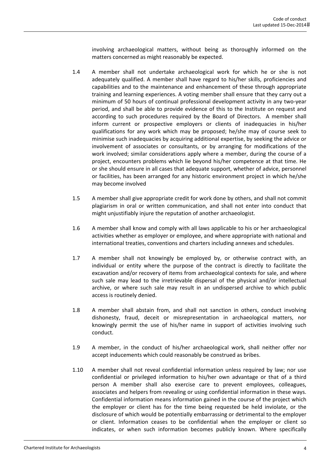involving archaeological matters, without being as thoroughly informed on the matters concerned as might reasonably be expected.

- 1.4 A member shall not undertake archaeological work for which he or she is not adequately qualified. A member shall have regard to his/her skills, proficiencies and capabilities and to the maintenance and enhancement of these through appropriate training and learning experiences. A voting member shall ensure that they carry out a minimum of 50 hours of continual professional development activity in any two‐year period, and shall be able to provide evidence of this to the Institute on request and according to such procedures required by the Board of Directors. A member shall inform current or prospective employers or clients of inadequacies in his/her qualifications for any work which may be proposed; he/she may of course seek to minimise such inadequacies by acquiring additional expertise, by seeking the advice or involvement of associates or consultants, or by arranging for modifications of the work involved; similar considerations apply where a member, during the course of a project, encounters problems which lie beyond his/her competence at that time. He or she should ensure in all cases that adequate support, whether of advice, personnel or facilities, has been arranged for any historic environment project in which he/she may become involved
- 1.5 A member shall give appropriate credit for work done by others, and shall not commit plagiarism in oral or written communication, and shall not enter into conduct that might unjustifiably injure the reputation of another archaeologist.
- 1.6 A member shall know and comply with all laws applicable to his or her archaeological activities whether as employer or employee, and where appropriate with national and international treaties, conventions and charters including annexes and schedules.
- 1.7 A member shall not knowingly be employed by, or otherwise contract with, an individual or entity where the purpose of the contract is directly to facilitate the excavation and/or recovery of items from archaeological contexts for sale, and where such sale may lead to the irretrievable dispersal of the physical and/or intellectual archive, or where such sale may result in an undispersed archive to which public access is routinely denied.
- 1.8 A member shall abstain from, and shall not sanction in others, conduct involving dishonesty, fraud, deceit or misrepresentation in archaeological matters, nor knowingly permit the use of his/her name in support of activities involving such conduct.
- 1.9 A member, in the conduct of his/her archaeological work, shall neither offer nor accept inducements which could reasonably be construed as bribes.
- 1.10 A member shall not reveal confidential information unless required by law; nor use confidential or privileged information to his/her own advantage or that of a third person A member shall also exercise care to prevent employees, colleagues, associates and helpers from revealing or using confidential information in these ways. Confidential information means information gained in the course of the project which the employer or client has for the time being requested be held inviolate, or the disclosure of which would be potentially embarrassing or detrimental to the employer or client. Information ceases to be confidential when the employer or client so indicates, or when such information becomes publicly known. Where specifically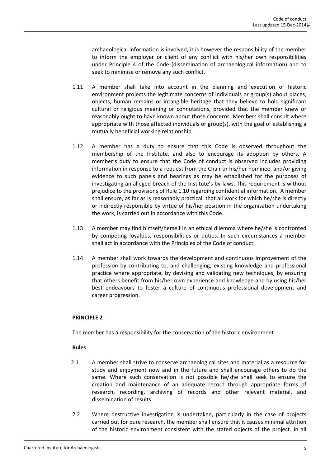archaeological information is involved, it is however the responsibility of the member to inform the employer or client of any conflict with his/her own responsibilities under Principle 4 of the Code (dissemination of archaeological information) and to seek to minimise or remove any such conflict.

- 1.11 A member shall take into account in the planning and execution of historic environment projects the legitimate concerns of individuals or group(s) about places, objects, human remains or intangible heritage that they believe to hold significant cultural or religious meaning or connotations, provided that the member knew or reasonably ought to have known about those concerns. Members shall consult where appropriate with those affected individuals or group(s), with the goal of establishing a mutually beneficial working relationship.
- 1.12 A member has a duty to ensure that this Code is observed throughout the membership of the Institute, and also to encourage its adoption by others. A member's duty to ensure that the Code of conduct is observed includes providing information in response to a request from the Chair or his/her nominee, and/or giving evidence to such panels and hearings as may be established for the purposes of investigating an alleged breach of the Institute's by‐laws. This requirement is without prejudice to the provisions of Rule 1.10 regarding confidential information. A member shall ensure, as far as is reasonably practical, that all work for which he/she is directly or indirectly responsible by virtue of his/her position in the organisation undertaking the work, is carried out in accordance with this Code.
- 1.13 A member may find himself/herself in an ethical dilemma where he/she is confronted by competing loyalties, responsibilities or duties. In such circumstances a member shall act in accordance with the Principles of the Code of conduct.
- 1.14 A member shall work towards the development and continuous improvement of the profession by contributing to, and challenging, existing knowledge and professional practice where appropriate, by devising and validating new techniques, by ensuring that others benefit from his/her own experience and knowledge and by using his/her best endeavours to foster a culture of continuous professional development and career progression.

## **PRINCIPLE 2**

The member has a responsibility for the conservation of the historic environment.

- 2.1 A member shall strive to conserve archaeological sites and material as a resource for study and enjoyment now and in the future and shall encourage others to do the same. Where such conservation is not possible he/she shall seek to ensure the creation and maintenance of an adequate record through appropriate forms of research, recording, archiving of records and other relevant material, and dissemination of results.
- 2.2 Where destructive investigation is undertaken, particularly in the case of projects carried out for pure research, the member shall ensure that it causes minimal attrition of the historic environment consistent with the stated objects of the project. In all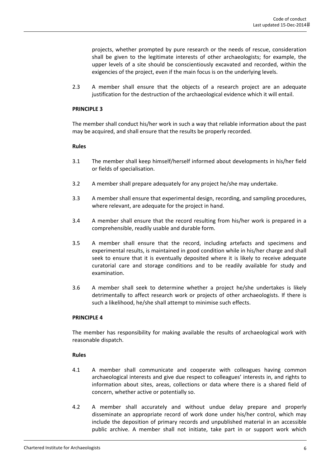projects, whether prompted by pure research or the needs of rescue, consideration shall be given to the legitimate interests of other archaeologists; for example, the upper levels of a site should be conscientiously excavated and recorded, within the exigencies of the project, even if the main focus is on the underlying levels.

2.3 A member shall ensure that the objects of a research project are an adequate justification for the destruction of the archaeological evidence which it will entail.

#### **PRINCIPLE 3**

The member shall conduct his/her work in such a way that reliable information about the past may be acquired, and shall ensure that the results be properly recorded.

#### **Rules**

- 3.1 The member shall keep himself/herself informed about developments in his/her field or fields of specialisation.
- 3.2 A member shall prepare adequately for any project he/she may undertake.
- 3.3 A member shall ensure that experimental design, recording, and sampling procedures, where relevant, are adequate for the project in hand.
- 3.4 A member shall ensure that the record resulting from his/her work is prepared in a comprehensible, readily usable and durable form.
- 3.5 A member shall ensure that the record, including artefacts and specimens and experimental results, is maintained in good condition while in his/her charge and shall seek to ensure that it is eventually deposited where it is likely to receive adequate curatorial care and storage conditions and to be readily available for study and examination.
- 3.6 A member shall seek to determine whether a project he/she undertakes is likely detrimentally to affect research work or projects of other archaeologists. If there is such a likelihood, he/she shall attempt to minimise such effects.

#### **PRINCIPLE 4**

The member has responsibility for making available the results of archaeological work with reasonable dispatch.

- 4.1 A member shall communicate and cooperate with colleagues having common archaeological interests and give due respect to colleagues' interests in, and rights to information about sites, areas, collections or data where there is a shared field of concern, whether active or potentially so.
- 4.2 A member shall accurately and without undue delay prepare and properly disseminate an appropriate record of work done under his/her control, which may include the deposition of primary records and unpublished material in an accessible public archive. A member shall not initiate, take part in or support work which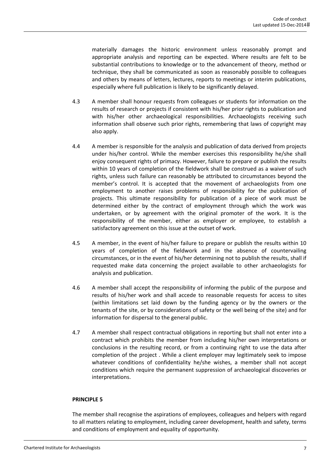materially damages the historic environment unless reasonably prompt and appropriate analysis and reporting can be expected. Where results are felt to be substantial contributions to knowledge or to the advancement of theory, method or technique, they shall be communicated as soon as reasonably possible to colleagues and others by means of letters, lectures, reports to meetings or interim publications, especially where full publication is likely to be significantly delayed.

- 4.3 A member shall honour requests from colleagues or students for information on the results of research or projects if consistent with his/her prior rights to publication and with his/her other archaeological responsibilities. Archaeologists receiving such information shall observe such prior rights, remembering that laws of copyright may also apply.
- 4.4 A member is responsible for the analysis and publication of data derived from projects under his/her control. While the member exercises this responsibility he/she shall enjoy consequent rights of primacy. However, failure to prepare or publish the results within 10 years of completion of the fieldwork shall be construed as a waiver of such rights, unless such failure can reasonably be attributed to circumstances beyond the member's control. It is accepted that the movement of archaeologists from one employment to another raises problems of responsibility for the publication of projects. This ultimate responsibility for publication of a piece of work must be determined either by the contract of employment through which the work was undertaken, or by agreement with the original promoter of the work. It is the responsibility of the member, either as employer or employee, to establish a satisfactory agreement on this issue at the outset of work.
- 4.5 A member, in the event of his/her failure to prepare or publish the results within 10 years of completion of the fieldwork and in the absence of countervailing circumstances, or in the event of his/her determining not to publish the results, shall if requested make data concerning the project available to other archaeologists for analysis and publication.
- 4.6 A member shall accept the responsibility of informing the public of the purpose and results of his/her work and shall accede to reasonable requests for access to sites (within limitations set laid down by the funding agency or by the owners or the tenants of the site, or by considerations of safety or the well being of the site) and for information for dispersal to the general public.
- 4.7 A member shall respect contractual obligations in reporting but shall not enter into a contract which prohibits the member from including his/her own interpretations or conclusions in the resulting record, or from a continuing right to use the data after completion of the project . While a client employer may legitimately seek to impose whatever conditions of confidentiality he/she wishes, a member shall not accept conditions which require the permanent suppression of archaeological discoveries or interpretations.

## **PRINCIPLE 5**

The member shall recognise the aspirations of employees, colleagues and helpers with regard to all matters relating to employment, including career development, health and safety, terms and conditions of employment and equality of opportunity.